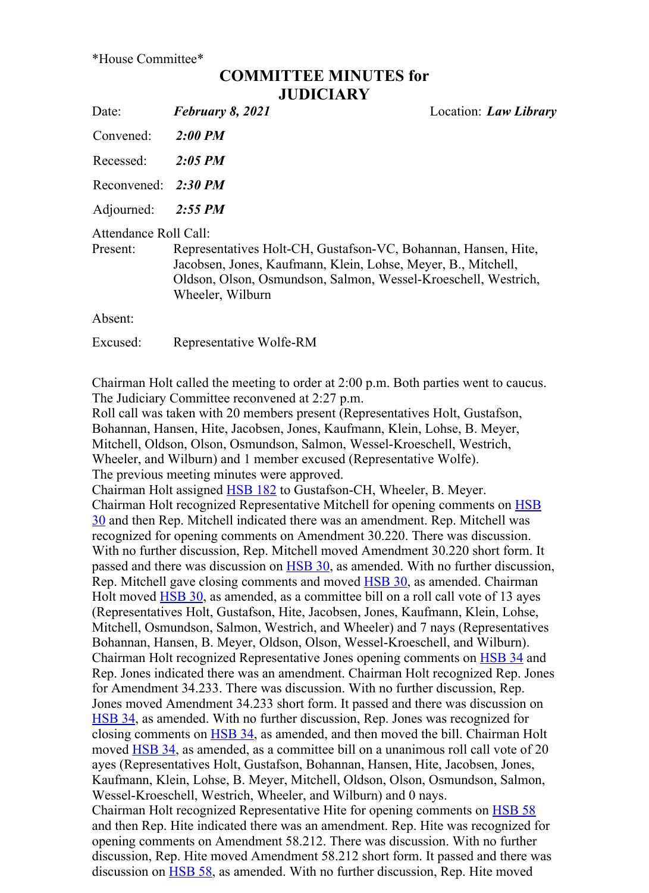\*House Committee\*

## COMMITTEE MINUTES for **JUDICIARY**

Date: February 8, 2021 Location: Law Library Convened: 2:00 PM Recessed: 2:05 PM Reconvened:  $2:30$  PM Adjourned: 2:55 PM Attendance Roll Call: Present: Representatives Holt-CH, Gustafson-VC, Bohannan, Hansen, Hite, Jacobsen, Jones, Kaufmann, Klein, Lohse, Meyer, B., Mitchell, Oldson, Olson, Osmundson, Salmon, Wessel-Kroeschell, Westrich, Wheeler, Wilburn Absent: Excused: Representative WolfeRM

Chairman Holt called the meeting to order at 2:00 p.m. Both parties went to caucus. The Judiciary Committee reconvened at 2:27 p.m.

Roll call was taken with 20 members present (Representatives Holt, Gustafson, Bohannan, Hansen, Hite, Jacobsen, Jones, Kaufmann, Klein, Lohse, B. Meyer, Mitchell, Oldson, Olson, Osmundson, Salmon, Wessel-Kroeschell, Westrich, Wheeler, and Wilburn) and 1 member excused (Representative Wolfe). The previous meeting minutes were approved.

Chairman Holt assigned HSB 182 to Gustafson-CH, Wheeler, B. Meyer. Chairman Holt recognized Representative Mitchell for opening comments on HSB 30 and then Rep. Mitchell indicated there was an amendment. Rep. Mitchell was recognized for opening comments on Amendment 30.220. There was discussion. With no further discussion, Rep. Mitchell moved Amendment 30.220 short form. It passed and there was discussion on HSB 30, as amended. With no further discussion, Rep. Mitchell gave closing comments and moved HSB 30, as amended. Chairman Holt moved **HSB 30**, as amended, as a committee bill on a roll call vote of 13 ayes (Representatives Holt, Gustafson, Hite, Jacobsen, Jones, Kaufmann, Klein, Lohse, Mitchell, Osmundson, Salmon, Westrich, and Wheeler) and 7 nays (Representatives Bohannan, Hansen, B. Meyer, Oldson, Olson, Wessel-Kroeschell, and Wilburn). Chairman Holt recognized Representative Jones opening comments on HSB 34 and Rep. Jones indicated there was an amendment. Chairman Holt recognized Rep. Jones for Amendment 34.233. There was discussion. With no further discussion, Rep. Jones moved Amendment 34.233 short form. It passed and there was discussion on HSB 34, as amended. With no further discussion, Rep. Jones was recognized for closing comments on HSB 34, as amended, and then moved the bill. Chairman Holt moved HSB 34, as amended, as a committee bill on a unanimous roll call vote of 20 ayes (Representatives Holt, Gustafson, Bohannan, Hansen, Hite, Jacobsen, Jones, Kaufmann, Klein, Lohse, B. Meyer, Mitchell, Oldson, Olson, Osmundson, Salmon, Wessel-Kroeschell, Westrich, Wheeler, and Wilburn) and 0 nays. Chairman Holt recognized Representative Hite for opening comments on HSB 58 and then Rep. Hite indicated there was an amendment. Rep. Hite was recognized for opening comments on Amendment 58.212. There was discussion. With no further discussion, Rep. Hite moved Amendment 58.212 short form. It passed and there was discussion on HSB 58, as amended. With no further discussion, Rep. Hite moved